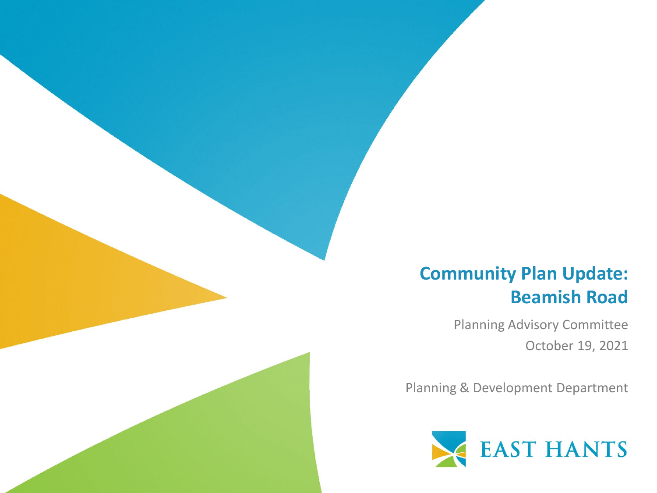#### **Community Plan Update: Beamish Road**

Planning Advisory Committee October 19, 2021

Planning & Development Department

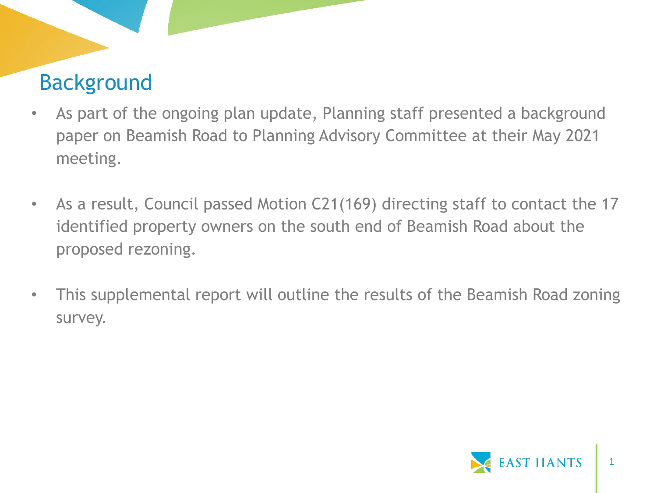# Background

- As part of the ongoing plan update, Planning staff presented a background paper on Beamish Road to Planning Advisory Committee at their May 2021 meeting.
- As a result, Council passed Motion C21(169) directing staff to contact the 17 identified property owners on the south end of Beamish Road about the proposed rezoning.
- This supplemental report will outline the results of the Beamish Road zoning survey.

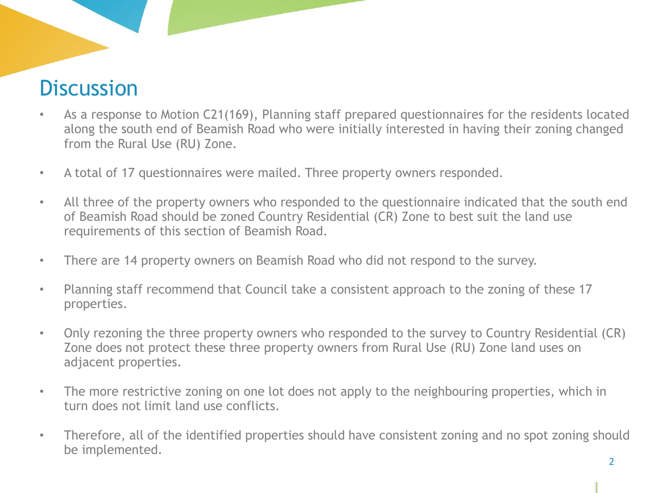#### **Discussion**

- As a response to Motion C21(169), Planning staff prepared questionnaires for the residents located along the south end of Beamish Road who were initially interested in having their zoning changed from the Rural Use (RU) Zone.
- A total of 17 questionnaires were mailed. Three property owners responded.
- All three of the property owners who responded to the questionnaire indicated that the south end of Beamish Road should be zoned Country Residential (CR) Zone to best suit the land use requirements of this section of Beamish Road.
- There are 14 property owners on Beamish Road who did not respond to the survey.
- Planning staff recommend that Council take a consistent approach to the zoning of these 17 properties.
- Only rezoning the three property owners who responded to the survey to Country Residential (CR) Zone does not protect these three property owners from Rural Use (RU) Zone land uses on adjacent properties.
- The more restrictive zoning on one lot does not apply to the neighbouring properties, which in turn does not limit land use conflicts.
- Therefore, all of the identified properties should have consistent zoning and no spot zoning should be implemented.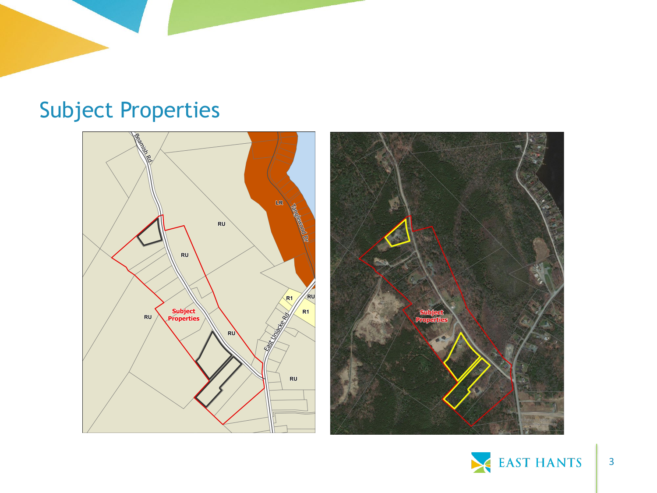### Subject Properties





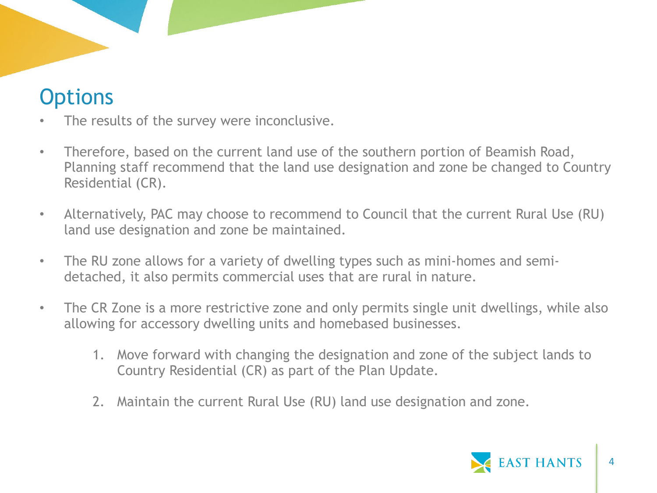## **Options**

- The results of the survey were inconclusive.
- Therefore, based on the current land use of the southern portion of Beamish Road, Planning staff recommend that the land use designation and zone be changed to Country Residential (CR).
- Alternatively, PAC may choose to recommend to Council that the current Rural Use (RU) land use designation and zone be maintained.
- The RU zone allows for a variety of dwelling types such as mini-homes and semidetached, it also permits commercial uses that are rural in nature.
- The CR Zone is a more restrictive zone and only permits single unit dwellings, while also allowing for accessory dwelling units and homebased businesses.
	- 1. Move forward with changing the designation and zone of the subject lands to Country Residential (CR) as part of the Plan Update.
	- 2. Maintain the current Rural Use (RU) land use designation and zone.

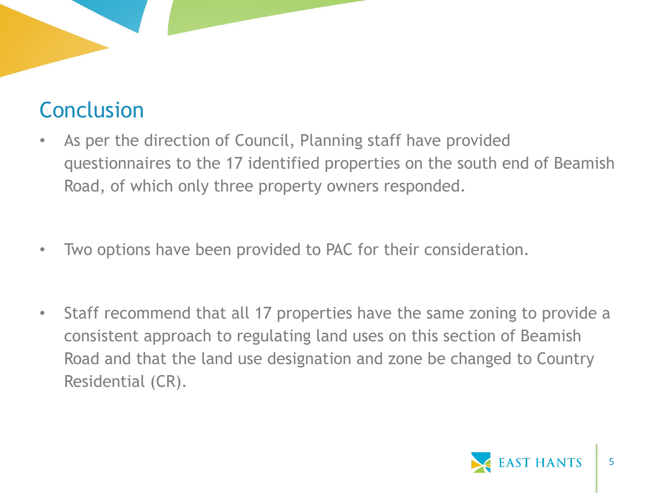# Conclusion

- As per the direction of Council, Planning staff have provided questionnaires to the 17 identified properties on the south end of Beamish Road, of which only three property owners responded.
- Two options have been provided to PAC for their consideration.
- Staff recommend that all 17 properties have the same zoning to provide a consistent approach to regulating land uses on this section of Beamish Road and that the land use designation and zone be changed to Country Residential (CR).